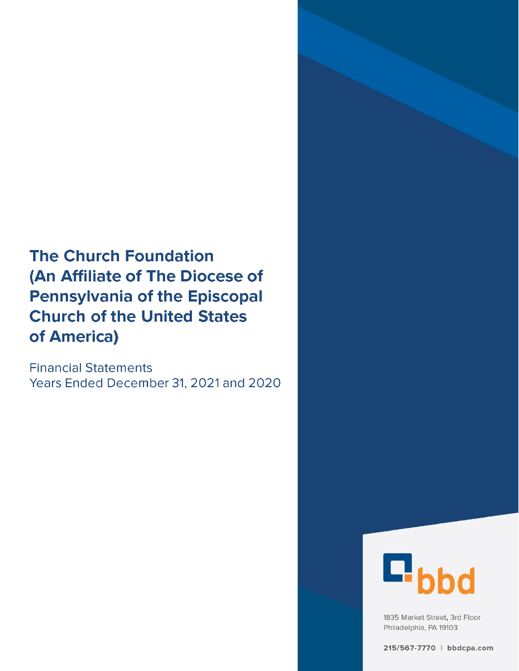# **The Church Foundation** (An Affiliate of The Diocese of **Pennsylvania of the Episcopal Church of the United States** of America)

**Financial Statements** Years Ended December 31, 2021 and 2020



1835 Market Street, 3rd Floor Philadelphia, PA 19103

215/567-7770 | bbdcpa.com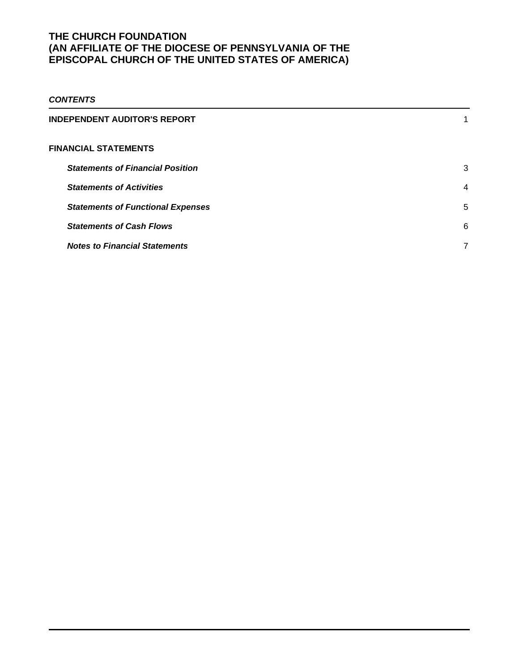# *CONTENTS*

| INDEPENDENT AUDITOR'S REPORT             |                |
|------------------------------------------|----------------|
| <b>FINANCIAL STATEMENTS</b>              |                |
| <b>Statements of Financial Position</b>  | 3              |
| <b>Statements of Activities</b>          | $\overline{4}$ |
| <b>Statements of Functional Expenses</b> | 5              |
| <b>Statements of Cash Flows</b>          | 6              |
| <b>Notes to Financial Statements</b>     | 7              |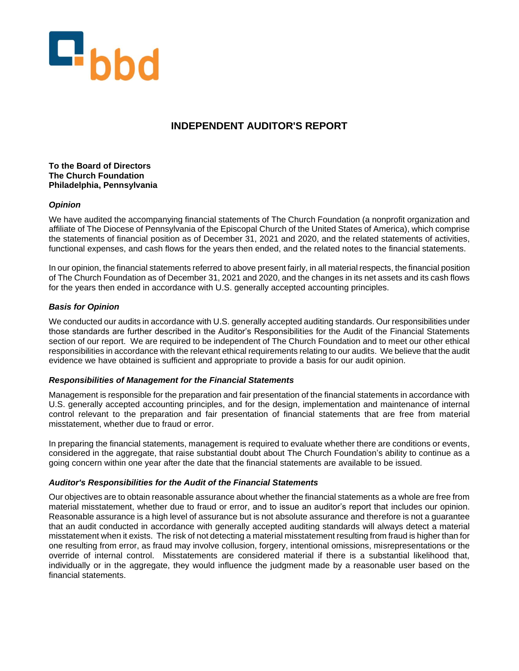

# **INDEPENDENT AUDITOR'S REPORT**

#### **To the Board of Directors The Church Foundation Philadelphia, Pennsylvania**

### *Opinion*

We have audited the accompanying financial statements of The Church Foundation (a nonprofit organization and affiliate of The Diocese of Pennsylvania of the Episcopal Church of the United States of America), which comprise the statements of financial position as of December 31, 2021 and 2020, and the related statements of activities, functional expenses, and cash flows for the years then ended, and the related notes to the financial statements.

In our opinion, the financial statements referred to above present fairly, in all material respects, the financial position of The Church Foundation as of December 31, 2021 and 2020, and the changes in its net assets and its cash flows for the years then ended in accordance with U.S. generally accepted accounting principles.

### *Basis for Opinion*

We conducted our audits in accordance with U.S. generally accepted auditing standards. Our responsibilities under those standards are further described in the Auditor's Responsibilities for the Audit of the Financial Statements section of our report. We are required to be independent of The Church Foundation and to meet our other ethical responsibilities in accordance with the relevant ethical requirements relating to our audits. We believe that the audit evidence we have obtained is sufficient and appropriate to provide a basis for our audit opinion.

### *Responsibilities of Management for the Financial Statements*

Management is responsible for the preparation and fair presentation of the financial statements in accordance with U.S. generally accepted accounting principles, and for the design, implementation and maintenance of internal control relevant to the preparation and fair presentation of financial statements that are free from material misstatement, whether due to fraud or error.

In preparing the financial statements, management is required to evaluate whether there are conditions or events, considered in the aggregate, that raise substantial doubt about The Church Foundation's ability to continue as a going concern within one year after the date that the financial statements are available to be issued.

#### *Auditor's Responsibilities for the Audit of the Financial Statements*

Our objectives are to obtain reasonable assurance about whether the financial statements as a whole are free from material misstatement, whether due to fraud or error, and to issue an auditor's report that includes our opinion. Reasonable assurance is a high level of assurance but is not absolute assurance and therefore is not a guarantee that an audit conducted in accordance with generally accepted auditing standards will always detect a material misstatement when it exists. The risk of not detecting a material misstatement resulting from fraud is higher than for one resulting from error, as fraud may involve collusion, forgery, intentional omissions, misrepresentations or the override of internal control. Misstatements are considered material if there is a substantial likelihood that, individually or in the aggregate, they would influence the judgment made by a reasonable user based on the financial statements.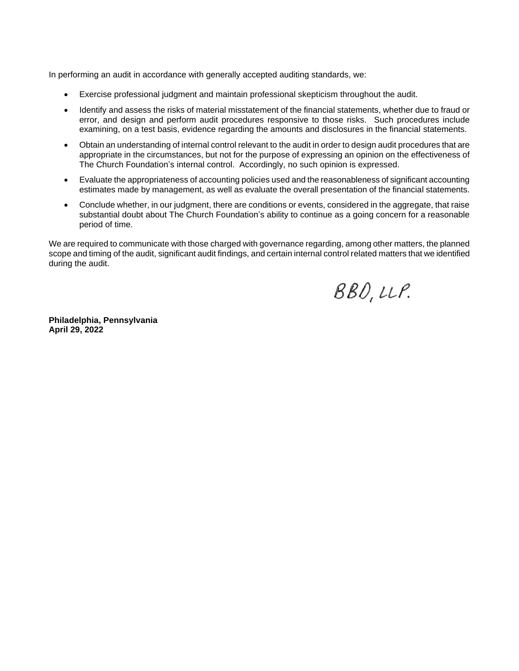In performing an audit in accordance with generally accepted auditing standards, we:

- Exercise professional judgment and maintain professional skepticism throughout the audit.
- Identify and assess the risks of material misstatement of the financial statements, whether due to fraud or error, and design and perform audit procedures responsive to those risks. Such procedures include examining, on a test basis, evidence regarding the amounts and disclosures in the financial statements.
- Obtain an understanding of internal control relevant to the audit in order to design audit procedures that are appropriate in the circumstances, but not for the purpose of expressing an opinion on the effectiveness of The Church Foundation's internal control. Accordingly, no such opinion is expressed.
- Evaluate the appropriateness of accounting policies used and the reasonableness of significant accounting estimates made by management, as well as evaluate the overall presentation of the financial statements.
- Conclude whether, in our judgment, there are conditions or events, considered in the aggregate, that raise substantial doubt about The Church Foundation's ability to continue as a going concern for a reasonable period of time.

We are required to communicate with those charged with governance regarding, among other matters, the planned scope and timing of the audit, significant audit findings, and certain internal control related matters that we identified during the audit.

 $BBO, LLP.$ 

**Philadelphia, Pennsylvania April 29, 2022**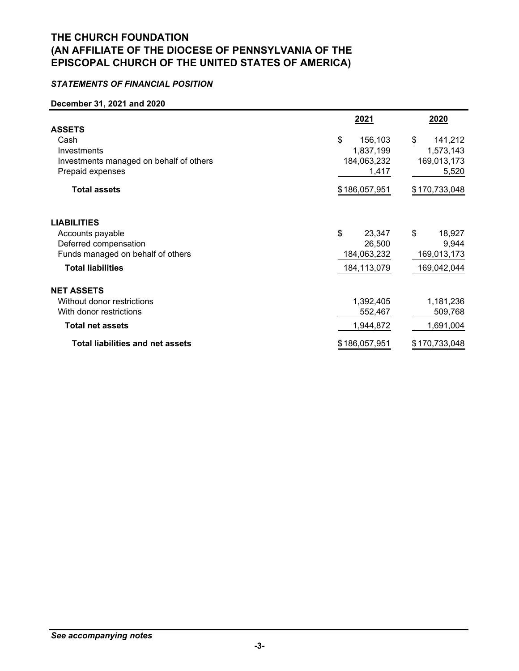# *STATEMENTS OF FINANCIAL POSITION*

#### **December 31, 2021 and 2020**

|                                         | 2021          | 2020          |
|-----------------------------------------|---------------|---------------|
| <b>ASSETS</b>                           |               |               |
| Cash                                    | \$<br>156,103 | \$<br>141,212 |
| Investments                             | 1,837,199     | 1,573,143     |
| Investments managed on behalf of others | 184,063,232   | 169,013,173   |
| Prepaid expenses                        | 1,417         | 5,520         |
| <b>Total assets</b>                     | \$186,057,951 | \$170,733,048 |
| <b>LIABILITIES</b>                      |               |               |
| Accounts payable                        | \$<br>23,347  | \$<br>18,927  |
| Deferred compensation                   | 26,500        | 9,944         |
| Funds managed on behalf of others       | 184,063,232   | 169,013,173   |
| <b>Total liabilities</b>                | 184,113,079   | 169,042,044   |
| <b>NET ASSETS</b>                       |               |               |
| Without donor restrictions              | 1,392,405     | 1,181,236     |
| With donor restrictions                 | 552,467       | 509,768       |
| <b>Total net assets</b>                 | 1,944,872     | 1,691,004     |
| <b>Total liabilities and net assets</b> | \$186,057,951 | \$170,733,048 |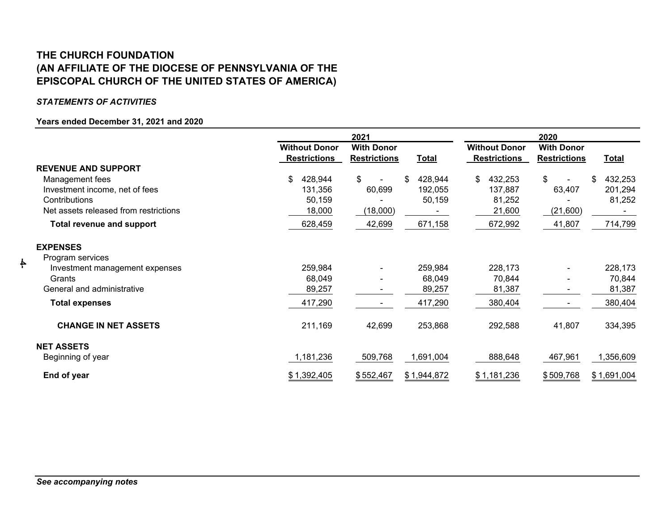# **EPISCOPAL CHURCH OF THE UNITED STATES OF AMERICA) THE CHURCH FOUNDATION(AN AFFILIATE OF THE DIOCESE OF PENNSYLVANIA OF THE**

### *STATEMENTS OF ACTIVITIES*

 **-4-** 

### **Years ended December 31, 2021 and 2020**

|                                       | 2021                                        |                                          | 2020          |                                             |                                          |               |
|---------------------------------------|---------------------------------------------|------------------------------------------|---------------|---------------------------------------------|------------------------------------------|---------------|
|                                       | <b>Without Donor</b><br><b>Restrictions</b> | <b>With Donor</b><br><b>Restrictions</b> | <b>Total</b>  | <b>Without Donor</b><br><b>Restrictions</b> | <b>With Donor</b><br><b>Restrictions</b> | <b>Total</b>  |
| <b>REVENUE AND SUPPORT</b>            |                                             |                                          |               |                                             |                                          |               |
| Management fees                       | \$<br>428,944                               | \$                                       | 428,944<br>S. | 432,253<br>\$.                              | \$                                       | 432,253<br>\$ |
| Investment income, net of fees        | 131,356                                     | 60,699                                   | 192,055       | 137,887                                     | 63,407                                   | 201,294       |
| Contributions                         | 50,159                                      |                                          | 50,159        | 81,252                                      |                                          | 81,252        |
| Net assets released from restrictions | 18,000                                      | (18,000)                                 |               | 21,600                                      | (21,600)                                 |               |
| <b>Total revenue and support</b>      | 628,459                                     | 42,699                                   | 671,158       | 672,992                                     | 41,807                                   | 714,799       |
| <b>EXPENSES</b>                       |                                             |                                          |               |                                             |                                          |               |
| Program services                      |                                             |                                          |               |                                             |                                          |               |
| Investment management expenses        | 259,984                                     |                                          | 259,984       | 228,173                                     |                                          | 228,173       |
| Grants                                | 68,049                                      |                                          | 68,049        | 70,844                                      |                                          | 70,844        |
| General and administrative            | 89,257                                      |                                          | 89,257        | 81,387                                      | ۰.                                       | 81,387        |
| <b>Total expenses</b>                 | 417,290                                     |                                          | 417,290       | 380,404                                     | ۰.                                       | 380,404       |
| <b>CHANGE IN NET ASSETS</b>           | 211,169                                     | 42,699                                   | 253,868       | 292,588                                     | 41,807                                   | 334,395       |
| <b>NET ASSETS</b>                     |                                             |                                          |               |                                             |                                          |               |
| Beginning of year                     | 1,181,236                                   | 509,768                                  | 1,691,004     | 888,648                                     | 467,961                                  | 1,356,609     |
| End of year                           | \$1,392,405                                 | \$552,467                                | \$1,944,872   | \$1,181,236                                 | \$509,768                                | \$1,691,004   |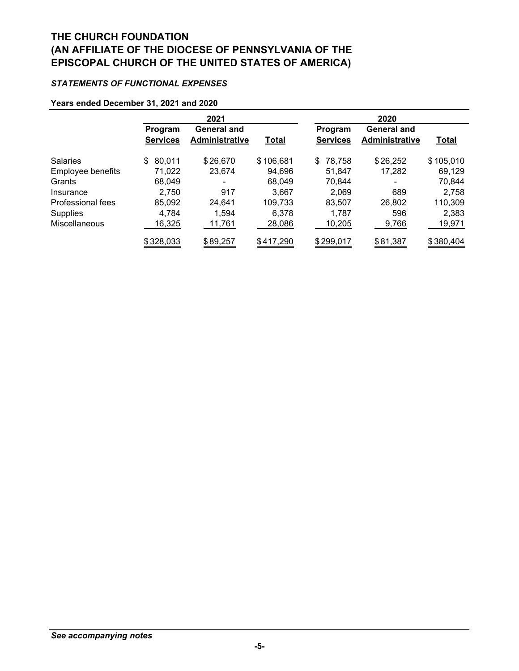# *STATEMENTS OF FUNCTIONAL EXPENSES*

#### **Years ended December 31, 2021 and 2020**

|                   | 2021                       |                                             | 2020         |                            |                                             |              |
|-------------------|----------------------------|---------------------------------------------|--------------|----------------------------|---------------------------------------------|--------------|
|                   | Program<br><b>Services</b> | <b>General and</b><br><b>Administrative</b> | <b>Total</b> | Program<br><b>Services</b> | <b>General and</b><br><b>Administrative</b> | <b>Total</b> |
| <b>Salaries</b>   | 80,011<br>\$               | \$26,670                                    | \$106,681    | 78,758<br>\$               | \$26,252                                    | \$105,010    |
| Employee benefits | 71,022                     | 23,674                                      | 94,696       | 51.847                     | 17,282                                      | 69,129       |
| Grants            | 68,049                     | -                                           | 68,049       | 70,844                     | ۰                                           | 70,844       |
| Insurance         | 2,750                      | 917                                         | 3.667        | 2,069                      | 689                                         | 2,758        |
| Professional fees | 85,092                     | 24,641                                      | 109,733      | 83.507                     | 26,802                                      | 110,309      |
| Supplies          | 4.784                      | 1,594                                       | 6.378        | 1.787                      | 596                                         | 2,383        |
| Miscellaneous     | 16,325                     | 11,761                                      | 28,086       | 10,205                     | 9,766                                       | 19,971       |
|                   | \$328,033                  | \$89,257                                    | \$417,290    | \$299,017                  | \$81,387                                    | \$380,404    |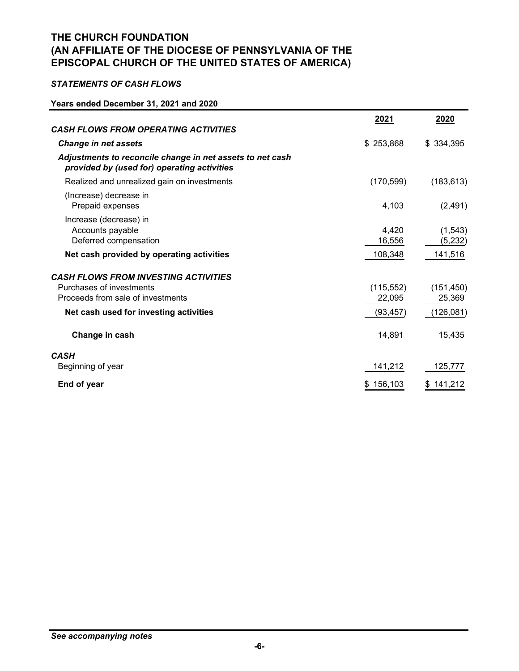# *STATEMENTS OF CASH FLOWS*

### **Years ended December 31, 2021 and 2020**

|                                                                                                          | 2021                 | 2020                 |
|----------------------------------------------------------------------------------------------------------|----------------------|----------------------|
| <b>CASH FLOWS FROM OPERATING ACTIVITIES</b>                                                              |                      |                      |
| <b>Change in net assets</b>                                                                              | \$253,868            | \$334,395            |
| Adjustments to reconcile change in net assets to net cash<br>provided by (used for) operating activities |                      |                      |
| Realized and unrealized gain on investments                                                              | (170, 599)           | (183, 613)           |
| (Increase) decrease in<br>Prepaid expenses                                                               | 4,103                | (2, 491)             |
| Increase (decrease) in<br>Accounts payable<br>Deferred compensation                                      | 4,420<br>16,556      | (1, 543)<br>(5,232)  |
| Net cash provided by operating activities                                                                | 108,348              | 141,516              |
| <b>CASH FLOWS FROM INVESTING ACTIVITIES</b>                                                              |                      |                      |
| Purchases of investments<br>Proceeds from sale of investments                                            | (115, 552)<br>22,095 | (151, 450)<br>25,369 |
| Net cash used for investing activities                                                                   | (93, 457)            | (126, 081)           |
| Change in cash                                                                                           | 14,891               | 15,435               |
| <b>CASH</b>                                                                                              |                      |                      |
| Beginning of year                                                                                        | 141,212              | 125,777              |
| End of year                                                                                              | 156,103<br>\$        | \$141,212            |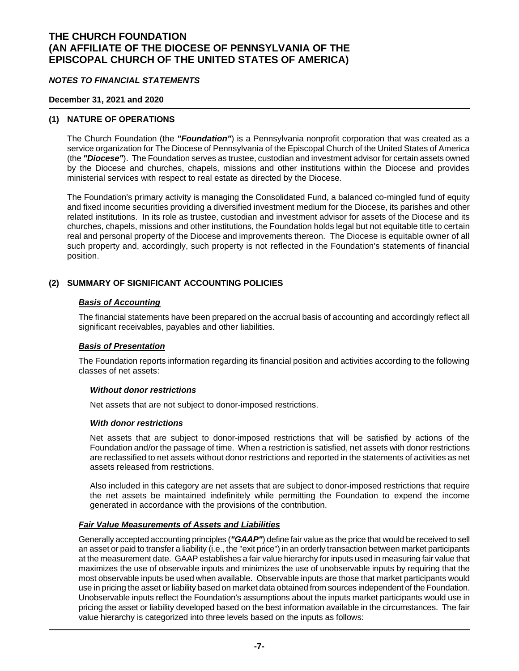#### *NOTES TO FINANCIAL STATEMENTS*

#### **December 31, 2021 and 2020**

### **(1) NATURE OF OPERATIONS**

The Church Foundation (the *"Foundation"*) is a Pennsylvania nonprofit corporation that was created as a service organization for The Diocese of Pennsylvania of the Episcopal Church of the United States of America (the *"Diocese"*). The Foundation serves as trustee, custodian and investment advisor for certain assets owned by the Diocese and churches, chapels, missions and other institutions within the Diocese and provides ministerial services with respect to real estate as directed by the Diocese.

The Foundation's primary activity is managing the Consolidated Fund, a balanced co-mingled fund of equity and fixed income securities providing a diversified investment medium for the Diocese, its parishes and other related institutions. In its role as trustee, custodian and investment advisor for assets of the Diocese and its churches, chapels, missions and other institutions, the Foundation holds legal but not equitable title to certain real and personal property of the Diocese and improvements thereon. The Diocese is equitable owner of all such property and, accordingly, such property is not reflected in the Foundation's statements of financial position.

#### **(2) SUMMARY OF SIGNIFICANT ACCOUNTING POLICIES**

#### *Basis of Accounting*

The financial statements have been prepared on the accrual basis of accounting and accordingly reflect all significant receivables, payables and other liabilities.

#### *Basis of Presentation*

The Foundation reports information regarding its financial position and activities according to the following classes of net assets:

#### *Without donor restrictions*

Net assets that are not subject to donor-imposed restrictions.

#### *With donor restrictions*

Net assets that are subject to donor-imposed restrictions that will be satisfied by actions of the Foundation and/or the passage of time. When a restriction is satisfied, net assets with donor restrictions are reclassified to net assets without donor restrictions and reported in the statements of activities as net assets released from restrictions.

Also included in this category are net assets that are subject to donor-imposed restrictions that require the net assets be maintained indefinitely while permitting the Foundation to expend the income generated in accordance with the provisions of the contribution.

#### *Fair Value Measurements of Assets and Liabilities*

Generally accepted accounting principles (*"GAAP"*) define fair value as the price that would be received to sell an asset or paid to transfer a liability (i.e., the "exit price") in an orderly transaction between market participants at the measurement date. GAAP establishes a fair value hierarchy for inputs used in measuring fair value that maximizes the use of observable inputs and minimizes the use of unobservable inputs by requiring that the most observable inputs be used when available. Observable inputs are those that market participants would use in pricing the asset or liability based on market data obtained from sources independent of the Foundation. Unobservable inputs reflect the Foundation's assumptions about the inputs market participants would use in pricing the asset or liability developed based on the best information available in the circumstances. The fair value hierarchy is categorized into three levels based on the inputs as follows: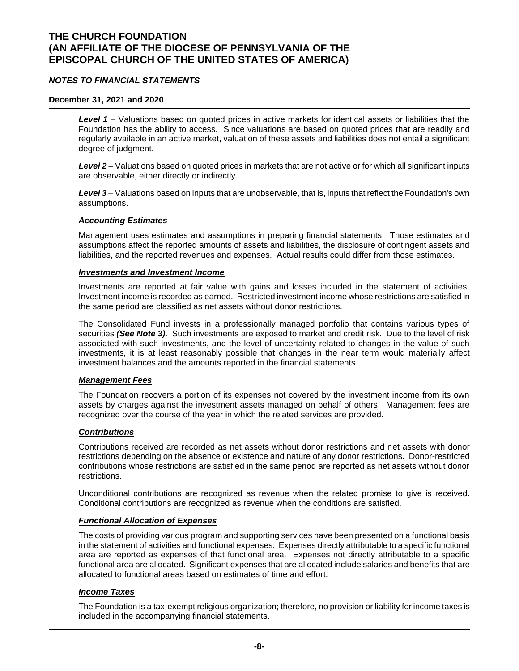### *NOTES TO FINANCIAL STATEMENTS*

#### **December 31, 2021 and 2020**

*Level 1* – Valuations based on quoted prices in active markets for identical assets or liabilities that the Foundation has the ability to access. Since valuations are based on quoted prices that are readily and regularly available in an active market, valuation of these assets and liabilities does not entail a significant degree of judgment.

*Level 2* – Valuations based on quoted prices in markets that are not active or for which all significant inputs are observable, either directly or indirectly.

*Level 3* – Valuations based on inputs that are unobservable, that is, inputs that reflect the Foundation's own assumptions.

#### *Accounting Estimates*

Management uses estimates and assumptions in preparing financial statements. Those estimates and assumptions affect the reported amounts of assets and liabilities, the disclosure of contingent assets and liabilities, and the reported revenues and expenses. Actual results could differ from those estimates.

#### *Investments and Investment Income*

Investments are reported at fair value with gains and losses included in the statement of activities. Investment income is recorded as earned. Restricted investment income whose restrictions are satisfied in the same period are classified as net assets without donor restrictions.

The Consolidated Fund invests in a professionally managed portfolio that contains various types of securities *(See Note 3)*. Such investments are exposed to market and credit risk. Due to the level of risk associated with such investments, and the level of uncertainty related to changes in the value of such investments, it is at least reasonably possible that changes in the near term would materially affect investment balances and the amounts reported in the financial statements.

#### *Management Fees*

The Foundation recovers a portion of its expenses not covered by the investment income from its own assets by charges against the investment assets managed on behalf of others. Management fees are recognized over the course of the year in which the related services are provided.

#### *Contributions*

Contributions received are recorded as net assets without donor restrictions and net assets with donor restrictions depending on the absence or existence and nature of any donor restrictions. Donor-restricted contributions whose restrictions are satisfied in the same period are reported as net assets without donor restrictions.

Unconditional contributions are recognized as revenue when the related promise to give is received. Conditional contributions are recognized as revenue when the conditions are satisfied.

#### *Functional Allocation of Expenses*

The costs of providing various program and supporting services have been presented on a functional basis in the statement of activities and functional expenses. Expenses directly attributable to a specific functional area are reported as expenses of that functional area. Expenses not directly attributable to a specific functional area are allocated. Significant expenses that are allocated include salaries and benefits that are allocated to functional areas based on estimates of time and effort.

### *Income Taxes*

The Foundation is a tax-exempt religious organization; therefore, no provision or liability for income taxes is included in the accompanying financial statements.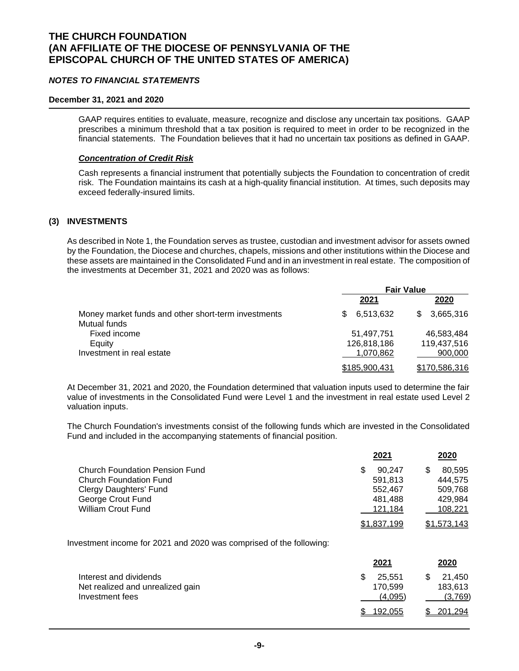#### *NOTES TO FINANCIAL STATEMENTS*

#### **December 31, 2021 and 2020**

GAAP requires entities to evaluate, measure, recognize and disclose any uncertain tax positions. GAAP prescribes a minimum threshold that a tax position is required to meet in order to be recognized in the financial statements. The Foundation believes that it had no uncertain tax positions as defined in GAAP.

#### *Concentration of Credit Risk*

Cash represents a financial instrument that potentially subjects the Foundation to concentration of credit risk. The Foundation maintains its cash at a high-quality financial institution. At times, such deposits may exceed federally-insured limits.

#### **(3) INVESTMENTS**

As described in Note 1, the Foundation serves as trustee, custodian and investment advisor for assets owned by the Foundation, the Diocese and churches, chapels, missions and other institutions within the Diocese and these assets are maintained in the Consolidated Fund and in an investment in real estate. The composition of the investments at December 31, 2021 and 2020 was as follows:

|                                                                     | <b>Fair Value</b> |                  |  |
|---------------------------------------------------------------------|-------------------|------------------|--|
|                                                                     | 2021              | 2020             |  |
| Money market funds and other short-term investments<br>Mutual funds | 6,513,632<br>SS.  | 3,665,316<br>\$. |  |
| Fixed income                                                        | 51.497.751        | 46.583.484       |  |
| Eauity                                                              | 126,818,186       | 119,437,516      |  |
| Investment in real estate                                           | 1.070.862         | 900,000          |  |
|                                                                     | \$185,900,431     | \$170,586,316    |  |

At December 31, 2021 and 2020, the Foundation determined that valuation inputs used to determine the fair value of investments in the Consolidated Fund were Level 1 and the investment in real estate used Level 2 valuation inputs.

The Church Foundation's investments consist of the following funds which are invested in the Consolidated Fund and included in the accompanying statements of financial position.

|                                       | 2021        | 2020        |
|---------------------------------------|-------------|-------------|
| <b>Church Foundation Pension Fund</b> | 90.247      | 80.595      |
| <b>Church Foundation Fund</b>         | 591.813     | 444.575     |
| Clergy Daughters' Fund                | 552.467     | 509.768     |
| George Crout Fund                     | 481.488     | 429.984     |
| <b>William Crout Fund</b>             | 121.184     | 108.221     |
|                                       | \$1,837,199 | \$1.573.143 |

Investment income for 2021 and 2020 was comprised of the following:

|                                                            | 2021              | 2020              |
|------------------------------------------------------------|-------------------|-------------------|
| Interest and dividends<br>Net realized and unrealized gain | 25.551<br>170.599 | 21.450<br>183,613 |
| Investment fees                                            | (4,095)           | (3,769)           |
|                                                            | 192.055           | 201,294           |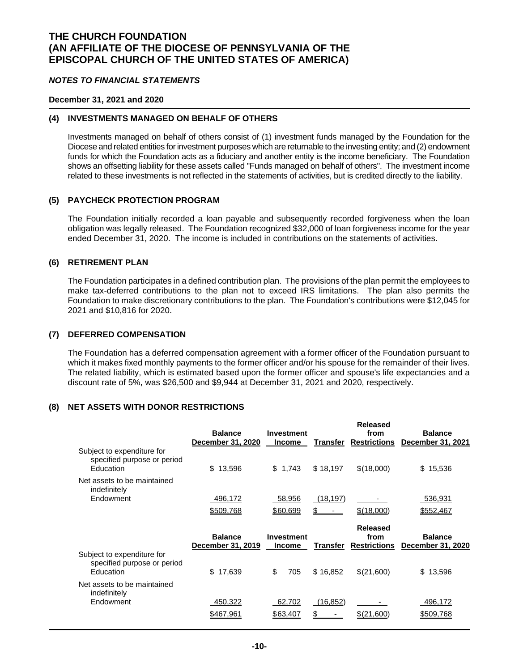#### *NOTES TO FINANCIAL STATEMENTS*

#### **December 31, 2021 and 2020**

#### **(4) INVESTMENTS MANAGED ON BEHALF OF OTHERS**

Investments managed on behalf of others consist of (1) investment funds managed by the Foundation for the Diocese and related entities for investment purposes which are returnable to the investing entity; and (2) endowment funds for which the Foundation acts as a fiduciary and another entity is the income beneficiary. The Foundation shows an offsetting liability for these assets called "Funds managed on behalf of others". The investment income related to these investments is not reflected in the statements of activities, but is credited directly to the liability.

#### **(5) PAYCHECK PROTECTION PROGRAM**

The Foundation initially recorded a loan payable and subsequently recorded forgiveness when the loan obligation was legally released. The Foundation recognized \$32,000 of loan forgiveness income for the year ended December 31, 2020. The income is included in contributions on the statements of activities.

### **(6) RETIREMENT PLAN**

The Foundation participates in a defined contribution plan. The provisions of the plan permit the employees to make tax-deferred contributions to the plan not to exceed IRS limitations. The plan also permits the Foundation to make discretionary contributions to the plan. The Foundation's contributions were \$12,045 for 2021 and \$10,816 for 2020.

#### **(7) DEFERRED COMPENSATION**

The Foundation has a deferred compensation agreement with a former officer of the Foundation pursuant to which it makes fixed monthly payments to the former officer and/or his spouse for the remainder of their lives. The related liability, which is estimated based upon the former officer and spouse's life expectancies and a discount rate of 5%, was \$26,500 and \$9,944 at December 31, 2021 and 2020, respectively.

#### **(8) NET ASSETS WITH DONOR RESTRICTIONS**

|                                                                        | <b>Balance</b><br>December 31, 2020 | <b>Investment</b><br><b>Income</b> | <b>Transfer</b> | <b>Released</b><br>from<br><b>Restrictions</b> | <b>Balance</b><br>December 31, 2021 |
|------------------------------------------------------------------------|-------------------------------------|------------------------------------|-----------------|------------------------------------------------|-------------------------------------|
| Subject to expenditure for<br>specified purpose or period<br>Education | \$<br>13,596                        | \$<br>1,743                        | \$18,197        | \$(18,000)                                     | \$<br>15,536                        |
| Net assets to be maintained<br>indefinitely                            |                                     |                                    |                 |                                                |                                     |
| Endowment                                                              | 496,172                             | 58,956                             | (18, 197)       |                                                | 536,931                             |
|                                                                        | \$509,768                           | \$60,699                           |                 | \$(18,000)                                     | \$552,467                           |
|                                                                        | <b>Balance</b><br>December 31, 2019 | <b>Investment</b><br><b>Income</b> | Transfer        | <b>Released</b><br>from<br><b>Restrictions</b> | <b>Balance</b><br>December 31, 2020 |
| Subject to expenditure for<br>specified purpose or period<br>Education | \$<br>17,639                        | \$<br>705                          | \$16,852        | \$(21,600)                                     | \$<br>13,596                        |
| Net assets to be maintained<br>indefinitely                            |                                     |                                    |                 |                                                |                                     |
| Endowment                                                              |                                     |                                    |                 |                                                |                                     |
|                                                                        | 450,322                             | 62,702                             | (16, 852)       |                                                | 496,172                             |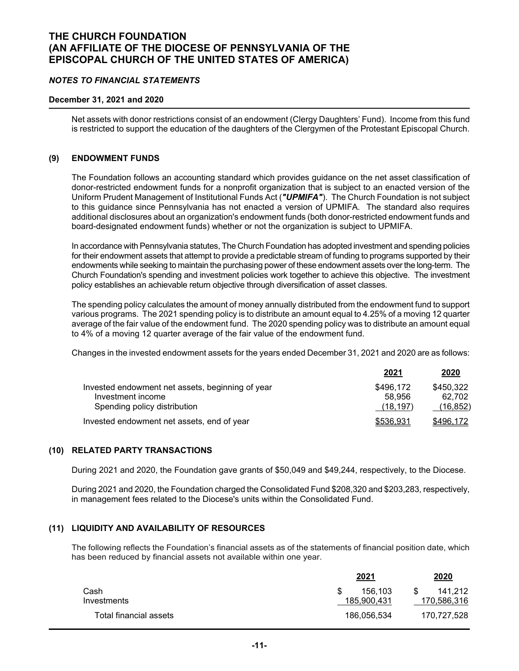#### *NOTES TO FINANCIAL STATEMENTS*

#### **December 31, 2021 and 2020**

Net assets with donor restrictions consist of an endowment (Clergy Daughters' Fund). Income from this fund is restricted to support the education of the daughters of the Clergymen of the Protestant Episcopal Church.

### **(9) ENDOWMENT FUNDS**

The Foundation follows an accounting standard which provides guidance on the net asset classification of donor-restricted endowment funds for a nonprofit organization that is subject to an enacted version of the Uniform Prudent Management of Institutional Funds Act (*"UPMIFA"*). The Church Foundation is not subject to this guidance since Pennsylvania has not enacted a version of UPMIFA. The standard also requires additional disclosures about an organization's endowment funds (both donor-restricted endowment funds and board-designated endowment funds) whether or not the organization is subject to UPMIFA.

In accordance with Pennsylvania statutes, The Church Foundation has adopted investment and spending policies for their endowment assets that attempt to provide a predictable stream of funding to programs supported by their endowments while seeking to maintain the purchasing power of these endowment assets over the long-term. The Church Foundation's spending and investment policies work together to achieve this objective. The investment policy establishes an achievable return objective through diversification of asset classes.

The spending policy calculates the amount of money annually distributed from the endowment fund to support various programs. The 2021 spending policy is to distribute an amount equal to 4.25% of a moving 12 quarter average of the fair value of the endowment fund. The 2020 spending policy was to distribute an amount equal to 4% of a moving 12 quarter average of the fair value of the endowment fund.

Changes in the invested endowment assets for the years ended December 31, 2021 and 2020 are as follows:

|                                                  | 2021      | 2020      |
|--------------------------------------------------|-----------|-----------|
| Invested endowment net assets, beginning of year | \$496,172 | \$450,322 |
| Investment income                                | 58.956    | 62.702    |
| Spending policy distribution                     | (18, 197) | (16, 852) |
| Invested endowment net assets, end of year       | \$536,931 | \$496,172 |

### **(10) RELATED PARTY TRANSACTIONS**

During 2021 and 2020, the Foundation gave grants of \$50,049 and \$49,244, respectively, to the Diocese.

During 2021 and 2020, the Foundation charged the Consolidated Fund \$208,320 and \$203,283, respectively, in management fees related to the Diocese's units within the Consolidated Fund.

### **(11) LIQUIDITY AND AVAILABILITY OF RESOURCES**

The following reflects the Foundation's financial assets as of the statements of financial position date, which has been reduced by financial assets not available within one year.

|                        | <u>2021</u> | 2020        |
|------------------------|-------------|-------------|
| Cash                   | 156.103     | 141.212     |
| Investments            | 185.900.431 | 170,586,316 |
| Total financial assets | 186,056,534 | 170,727,528 |